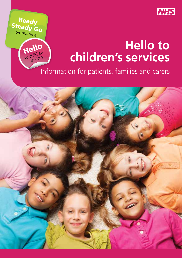

## **Hello to children's services**

Information for patients, families and carers

Ready Steady Go programme

> Hello to children's services

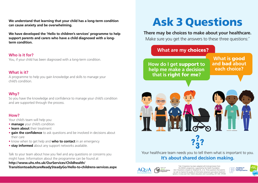**We understand that learning that your child has a long-term condition can cause anxiety and be overwhelming.** 

**We have developed the 'Hello to children's services' programme to help support parents and carers who have a child diagnosed with a longterm condition.**

#### **Who is it for?**

You, if your child has been diagnosed with a long-term condition.

#### **What is it?**

A programme to help you gain knowledge and skills to manage your child's condition.

#### **Why?**

So you have the knowledge and confidence to manage your child's condition and are supported through the process.

#### **How?**

Your child's team will help you:

- **manage** your child's condition
- **learn about** their treatment
- **gain the confidence** to ask questions and be involved in decisions about their care
- know when to get help and **who to contact** in an emergency
- **stay informed** about any support networks available.

Talk to your team about how you feel and any questions or concerns you might have. Information about the programme can be found at **http://www.uhs.nhs.uk/OurServices/Childhealth/ TransitiontoadultcareReadySteadyGo/Hello-to-childrens-services.aspx**

# Ask 3 Questions

**There may be choices to make about your healthcare.** 

Make sure you get the answers to these three questions:<sup>\*</sup>

### **What are my** choices?

**How do I get support to cand bad about help me make a decision**  $\qquad$  **each choice? that is** right for me**?**

**What is** good **and** bad **about** 



Your healthcare team needs you to tell them what is important to you. **It's about shared decision making.** 



\*Ask 3 Questions has been adapted with kind permission from the MAGIC programme, supported by the Health Foundation. Questions is based on Shepherd HL, et al. Three questions that parents can ask to improve the quality of information physicians give about treatment options: A cross-over trial. Patient education and Counselling, 2011;84: 379-85